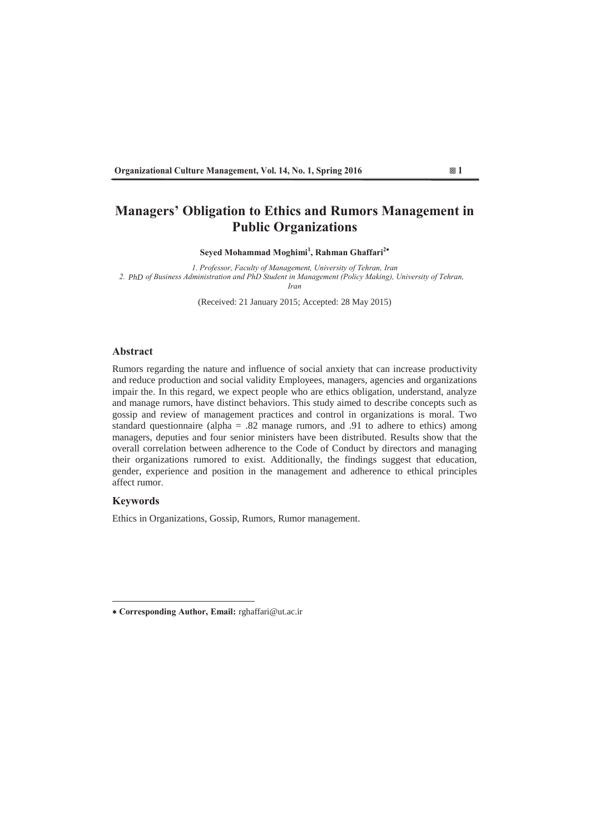## **Managers' Obligation to Ethics and Rumors Management in Public Organizations**

Seyed Mohammad Moghimi<sup>1</sup>, Rahman Ghaffari<sup>2</sup>\*

*3 Professor Faculty of Management University of Tehran Jran* 2. PhD of Business Administration and PhD Student in Management (Policy Making), University of Tehran,  $Iran$ 

(Received: 21 January 2015; Accepted: 28 May 2015)

## **Abstract**

Rumors regarding the nature and influence of social anxiety that can increase productivity and reduce production and social validity Employees, managers, agencies and organizations impair the. In this regard, we expect people who are ethics obligation, understand, analyze and manage rumors, have distinct behaviors. This study aimed to describe concepts such as gossip and review of management practices and control in organizations is moral. Two standard questionnaire (alpha = .82 manage rumors, and .91 to adhere to ethics) among managers, deputies and four senior ministers have been distributed. Results show that the overall correlation between adherence to the Code of Conduct by directors and managing their organizations rumored to exist. Additionally, the findings suggest that education, gender, experience and position in the management and adherence to ethical principles affect rumor

## **Keywords**

Ethics in Organizations, Gossip, Rumors, Rumor management.



<sup>\*</sup> Corresponding Author, Email: rghaffari@ut.ac.ir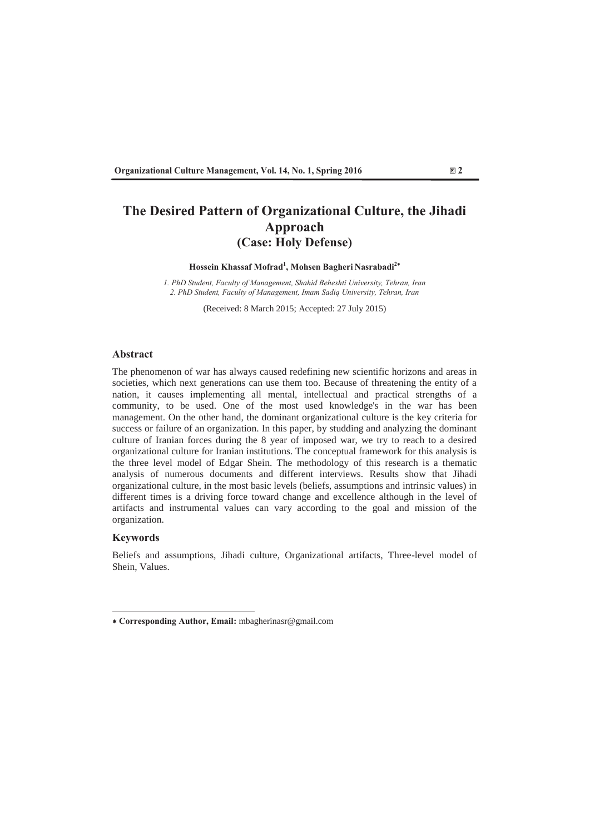# **The Desired Pattern of Organizational Culture, the Jihadi Approach (Case: Holy Defense)**

## Hossein Khassaf Mofrad<sup>1</sup>, Mohsen Bagheri Nasrabadi<sup>2\*</sup>

*3K 1. PhD Student, Faculty of Management, Shahid Beheshti University, Tehran, Iran* 2. PhD Student, Faculty of Management, Imam Sadia University, Tehran, Iran

(Received: 8 March 2015; Accepted: 27 July 2015)

## **Abstract**

The phenomenon of war has always caused redefining new scientific horizons and areas in societies, which next generations can use them too. Because of threatening the entity of a nation, it causes implementing all mental, intellectual and practical strengths of a community, to be used. One of the most used knowledge's in the war has been management. On the other hand, the dominant organizational culture is the key criteria for success or failure of an organization. In this paper, by studding and analyzing the dominant culture of Iranian forces during the 8 year of imposed war, we try to reach to a desired organizational culture for Iranian institutions. The conceptual framework for this analysis is the three level model of Edgar Shein. The methodology of this research is a thematic analysis of numerous documents and different interviews. Results show that Jihadi organizational culture, in the most basic levels (beliefs, assumptions and intrinsic values) in different times is a driving force toward change and excellence although in the level of artifacts and instrumental values can vary according to the goal and mission of the organization.

## **Keywords**

Beliefs and assumptions, Jihadi culture, Organizational artifacts, Three-level model of Shein, Values.

<sup>\*</sup> Corresponding Author, Email: mbagherinasr@gmail.com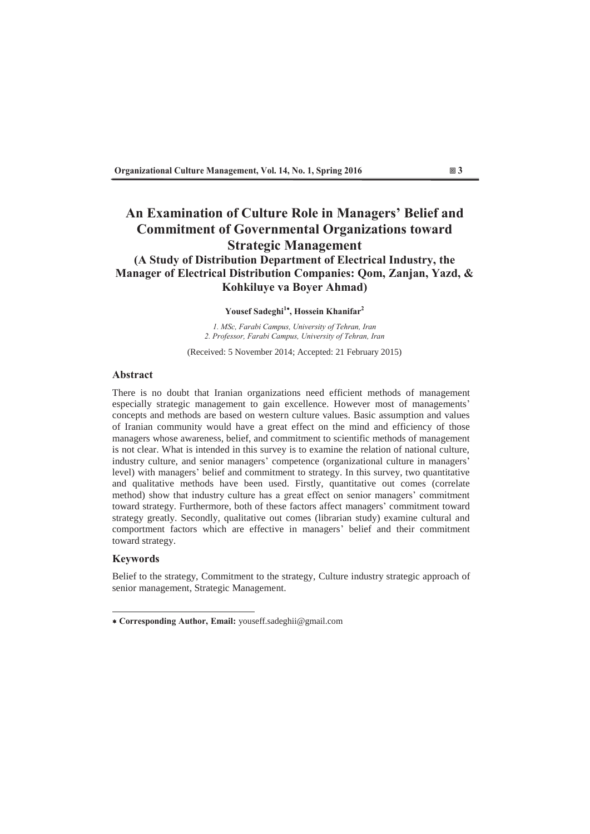## An Examination of Culture Role in Managers' Belief and **Commitment of Governmental Organizations toward Strategic Management (A Study of Distribution Department of Electrical Industry, the Manager of Electrical Distribution Companies: Qom, Zanjan, Yazd, & Kohkiluye va Boyer Ahmad)**

## Yousef Sadeghi<sup>1\*</sup>, Hossein Khanifar<sup>2</sup>

*1. MSc, Farabi Campus, University of Tehran, Iran* 2. Professor, Farabi Campus, University of Tehran, Iran

(Received: 5 November 2014; Accepted: 21 February 2015)

## **Abstract**

There is no doubt that Iranian organizations need efficient methods of management especially strategic management to gain excellence. However most of managements' concepts and methods are based on western culture values. Basic assumption and values of Iranian community would have a great effect on the mind and efficiency of those managers whose awareness, belief, and commitment to scientific methods of management is not clear. What is intended in this survey is to examine the relation of national culture, industry culture, and senior managers' competence (organizational culture in managers' level) with managers' belief and commitment to strategy. In this survey, two quantitative and qualitative methods have been used. Firstly, quantitative out comes (correlate method) show that industry culture has a great effect on senior managers' commitment toward strategy. Furthermore, both of these factors affect managers' commitment toward strategy greatly. Secondly, qualitative out comes (librarian study) examine cultural and comportment factors which are effective in managers' belief and their commitment toward strategy.

## **Keywords**

Belief to the strategy, Commitment to the strategy, Culture industry strategic approach of senior management, Strategic Management.

<sup>\*</sup> Corresponding Author, Email: youseff.sadeghii@gmail.com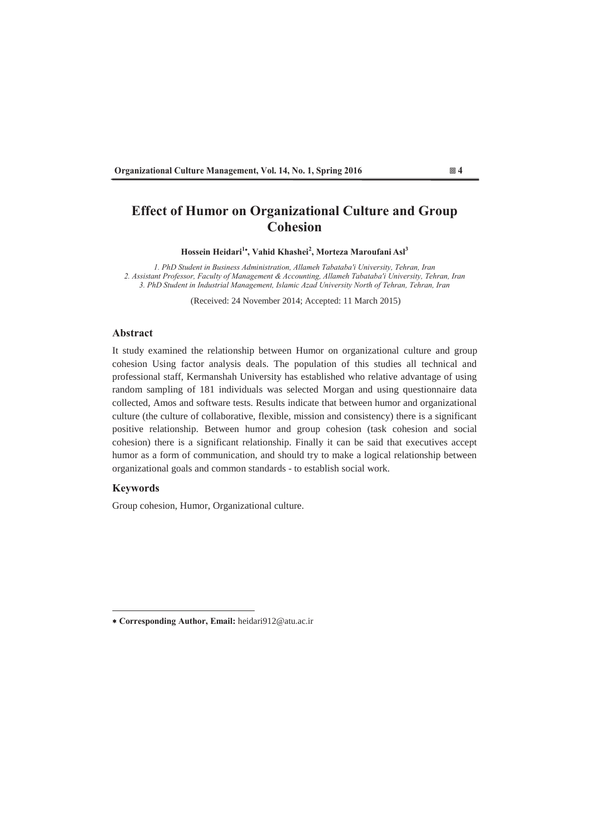# **Effect of Humor on Organizational Culture and Group Cohesion**

Hossein Heidari<sup>1</sup>, Vahid Khashei<sup>2</sup>, Morteza Maroufani Asl<sup>3</sup>

*1. PhD Student in Business Administration, Allameh Tabataba'i University, Tehran, Iran* 2. Assistant Professor, Faculty of Management & Accounting, Allameh Tabataba'i University, Tehran, Iran 3. PhD Student in Industrial Management, Islamic Azad University North of Tehran, Tehran, Iran

(Received: 24 November 2014; Accepted: 11 March 2015)

## **Abstract**

It study examined the relationship between Humor on organizational culture and group cohesion Using factor analysis deals. The population of this studies all technical and professional staff, Kermanshah University has established who relative advantage of using random sampling of 181 individuals was selected Morgan and using questionnaire data collected, Amos and software tests. Results indicate that between humor and organizational culture (the culture of collaborative, flexible, mission and consistency) there is a significant positive relationship. Between humor and group cohesion (task cohesion and social cohesion) there is a significant relationship. Finally it can be said that executives accept humor as a form of communication, and should try to make a logical relationship between organizational goals and common standards - to establish social work.

## **Keywords**

Group cohesion, Humor, Organizational culture.

<sup>\*</sup> Corresponding Author, Email: heidari912@atu.ac.ir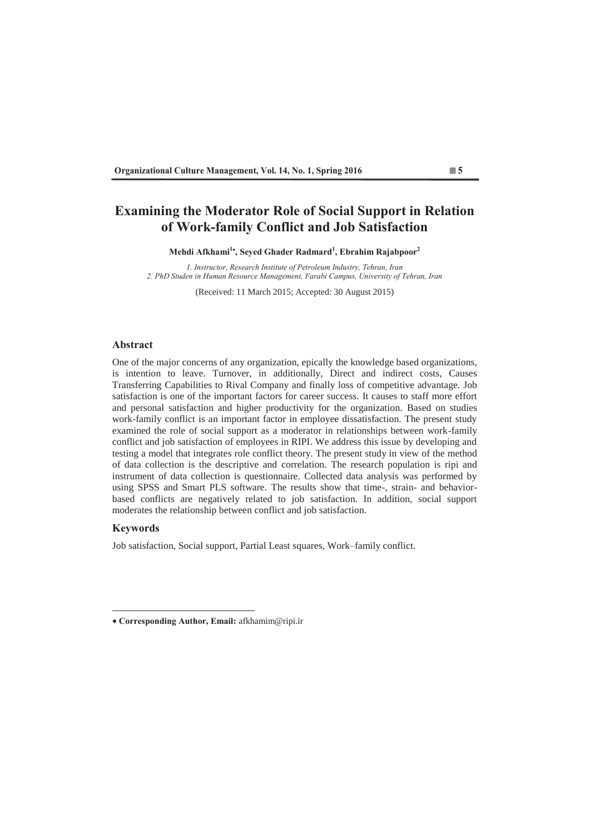## **Examining the Moderator Role of Social Support in Relation** of Work-family Conflict and Job Satisfaction

Mehdi Afkhami<sup>1</sup><sup>\*</sup>, Seyed Ghader Radmard<sup>1</sup>, Ebrahim Rajabpoor<sup>2</sup>

*<i>I*, Instructor, Research Institute of Petroleum Industry, Tehran, Iran 2. PhD Studen in Human Resource Management, Farabi Campus, University of Tehran, Iran

(Received: 11 March 2015; Accepted: 30 August 2015)

## **Abstract**

One of the major concerns of any organization, epically the knowledge based organizations, is intention to leave. Turnover, in additionally, Direct and indirect costs, Causes Transferring Capabilities to Rival Company and finally loss of competitive advantage. Job satisfaction is one of the important factors for career success. It causes to staff more effort and personal satisfaction and higher productivity for the organization. Based on studies work-family conflict is an important factor in employee dissatisfaction. The present study examined the role of social support as a moderator in relationships between work-family conflict and job satisfaction of employees in RIPI. We address this issue by developing and testing a model that integrates role conflict theory. The present study in view of the method of data collection is the descriptive and correlation. The research population is ripi and instrument of data collection is questionnaire. Collected data analysis was performed by using SPSS and Smart PLS software. The results show that time-, strain- and behaviorbased conflicts are negatively related to job satisfaction. In addition, social support moderates the relationship between conflict and job satisfaction.

## **Keywords**

Job satisfaction, Social support, Partial Least squares, Work-family conflict.

<sup>\*</sup> Corresponding Author, Email: afkhamim@ripi.ir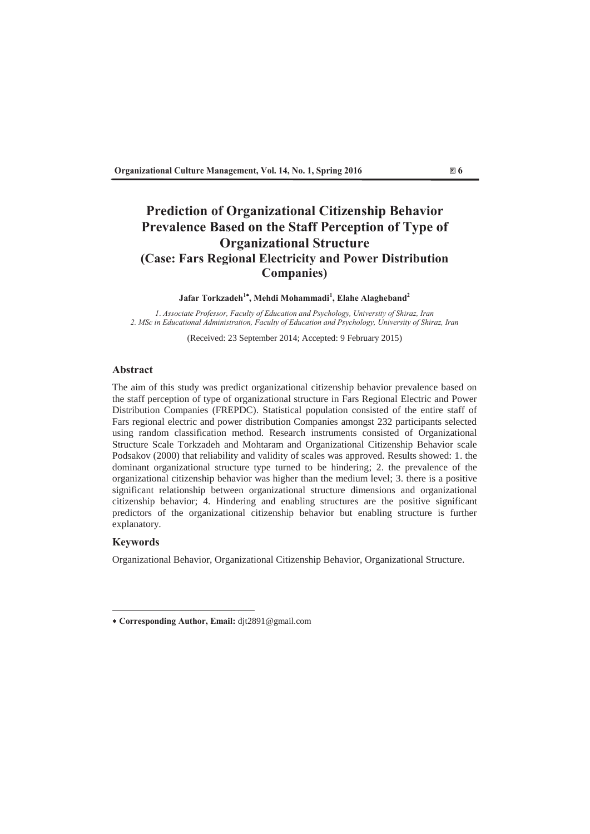# **Prediction of Organizational Citizenship Behavior Prevalence Based on the Staff Perception of Type of 2DE Organizational Structure (Case: Fars Regional Electricity and Power Distribution**  $Companies)$

## Jafar Torkzadeh<sup>1\*</sup>, Mehdi Mohammadi<sup>1</sup>, Elahe Alagheband<sup>2</sup>

*I. Associate Professor, Faculty of Education and Psychology, University of Shiraz, Iran* 2. MSc in Educational Administration, Faculty of Education and Psychology, University of Shiraz, Iran

(Received: 23 September 2014; Accepted: 9 February 2015)

## **Abstract**

The aim of this study was predict organizational citizenship behavior prevalence based on the staff perception of type of organizational structure in Fars Regional Electric and Power Distribution Companies (FREPDC). Statistical population consisted of the entire staff of Fars regional electric and power distribution Companies amongst 232 participants selected using random classification method. Research instruments consisted of Organizational Structure Scale Torkzadeh and Mohtaram and Organizational Citizenship Behavior scale Podsakov (2000) that reliability and validity of scales was approved. Results showed: 1. the dominant organizational structure type turned to be hindering; 2. the prevalence of the organizational citizenship behavior was higher than the medium level; 3. there is a positive significant relationship between organizational structure dimensions and organizational citizenship behavior; 4. Hindering and enabling structures are the positive significant predictors of the organizational citizenship behavior but enabling structure is further explanatory.

## **Keywords**

Organizational Behavior, Organizational Citizenship Behavior, Organizational Structure.

<sup>\*</sup> Corresponding Author, Email: djt2891@gmail.com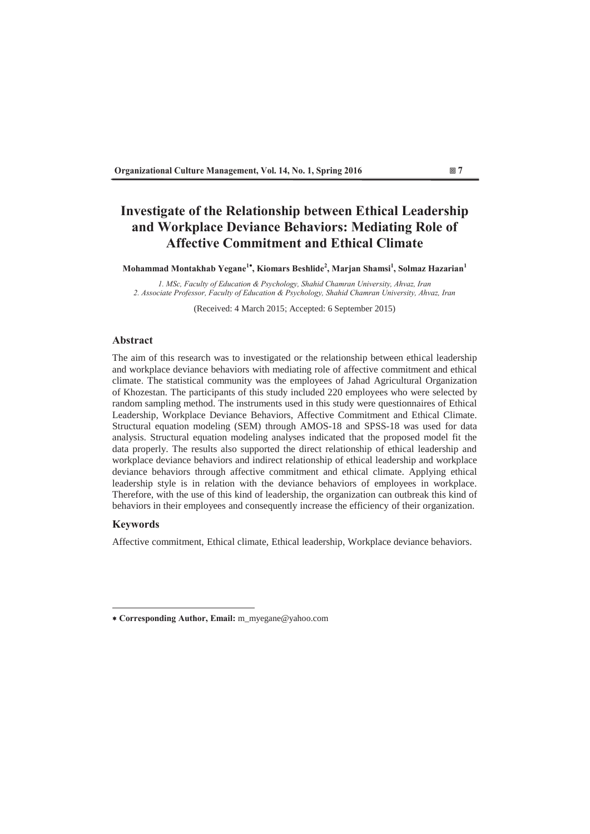# **Investigate of the Relationship between Ethical Leadership** and Workplace Deviance Behaviors: Mediating Role of **Affective Commitment and Ethical Climate**

 $\bf{Mohammad Montakhab Yegane}^{1*},\bf{Kiomars Beshlide}^{2},\bf{Marjan Shamsi}^{1},\bf{Solmaz Hazarian}^{1}$ 

*1. MSc, Faculty of Education & Psychology, Shahid Chamran University, Ahvaz, Iran* 2. Associate Professor, Faculty of Education & Psychology, Shahid Chamran University, Ahvaz, Iran

(Received: 4 March 2015; Accepted: 6 September 2015)

## **Abstract**

The aim of this research was to investigated or the relationship between ethical leadership and workplace deviance behaviors with mediating role of affective commitment and ethical climate The statistical community was the employees of Jahad Agricultural Organization of Khozestan. The participants of this study included 220 employees who were selected by random sampling method. The instruments used in this study were questionnaires of Ethical Leadership, Workplace Deviance Behaviors, Affective Commitment and Ethical Climate. Structural equation modeling (SEM) through AMOS-18 and SPSS-18 was used for data analysis. Structural equation modeling analyses indicated that the proposed model fit the data properly. The results also supported the direct relationship of ethical leadership and workplace deviance behaviors and indirect relationship of ethical leadership and workplace deviance behaviors through affective commitment and ethical climate. Applying ethical leadership style is in relation with the deviance behaviors of employees in workplace. Therefore, with the use of this kind of leadership, the organization can outbreak this kind of behaviors in their employees and consequently increase the efficiency of their organization.

## **Keywords**

Affective commitment, Ethical climate, Ethical leadership, Workplace deviance behaviors.

<sup>\*</sup> Corresponding Author, Email: m\_myegane@yahoo.com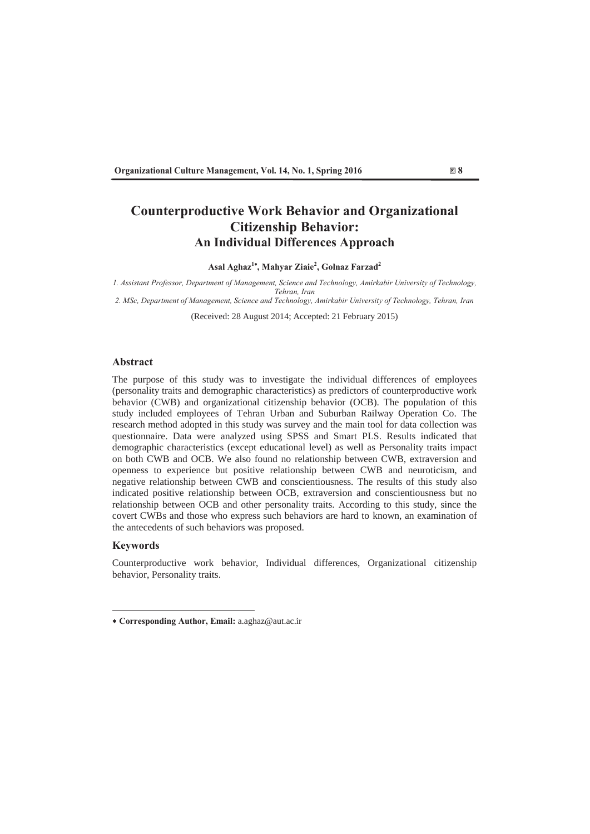# **Counterproductive Work Behavior and Organizational Citizenship Behavior: An Individual Differences Approach**

Asal Aghaz<sup>1\*</sup>, Mahyar Ziaie<sup>2</sup>, Golnaz Farzad<sup>2</sup>

1. Assistant Professor, Department of Management, Science and Technology, Amirkabir University of Technology, *Tehran, Iran* 

2. MSc, Department of Management, Science and Technology, Amirkabir University of Technology, Tehran, Iran

(Received: 28 August 2014; Accepted: 21 February 2015)

## **Abstract**

The purpose of this study was to investigate the individual differences of employees (personality traits and demographic characteristics) as predictors of counterproductive work behavior (CWB) and organizational citizenship behavior (OCB). The population of this study included employees of Tehran Urban and Suburban Railway Operation Co. The research method adopted in this study was survey and the main tool for data collection was questionnaire. Data were analyzed using SPSS and Smart PLS. Results indicated that demographic characteristics (except educational level) as well as Personality traits impact on both CWB and OCB. We also found no relationship between CWB, extraversion and openness to experience but positive relationship between CWB and neuroticism, and negative relationship between CWB and conscientiousness. The results of this study also indicated positive relationship between OCB, extraversion and conscientiousness but no relationship between OCB and other personality traits. According to this study, since the covert CWBs and those who express such behaviors are hard to known, an examination of the antecedents of such behaviors was proposed.

## **Keywords**

Counterproductive work behavior, Individual differences, Organizational citizenship behavior, Personality traits.

<sup>\*</sup> Corresponding Author, Email: a.aghaz@aut.ac.ir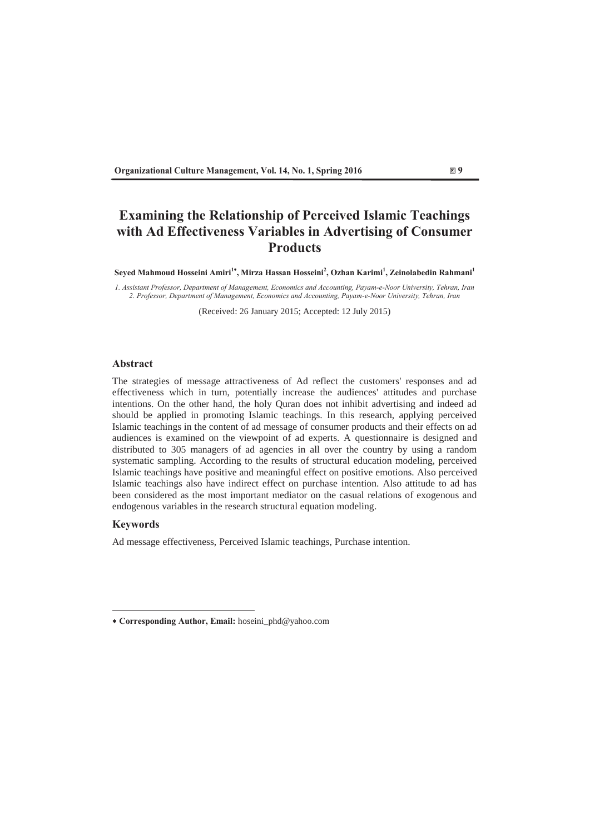# **Examining the Relationship of Perceived Islamic Teachings** with Ad Effectiveness Variables in Advertising of Consumer **Products**

Seyed Mahmoud Hosseini Amiri<sup>1\*</sup>, Mirza Hassan Hosseini<sup>2</sup>, Ozhan Karimi<sup>1</sup>, Zeinolabedin Rahmani<sup>1</sup>

*I. Assistant Professor, Department of Management, Economics and Accounting, Payam-e-Noor University, Tehran, Iran* 2. Professor, Department of Management, Economics and Accounting, Payam-e-Noor University, Tehran, Iran

(Received: 26 January 2015; Accepted: 12 July 2015)

## Abstract

The strategies of message attractiveness of Ad reflect the customers' responses and ad effectiveness which in turn, potentially increase the audiences' attitudes and purchase intentions. On the other hand, the holy Quran does not inhibit advertising and indeed ad should be applied in promoting Islamic teachings. In this research, applying perceived Islamic teachings in the content of ad message of consumer products and their effects on ad audiences is examined on the viewpoint of ad experts. A questionnaire is designed and distributed to 305 managers of ad agencies in all over the country by using a random systematic sampling. According to the results of structural education modeling, perceived Islamic teachings have positive and meaningful effect on positive emotions. Also perceived Islamic teachings also have indirect effect on purchase intention. Also attitude to ad has been considered as the most important mediator on the casual relations of exogenous and endogenous variables in the research structural equation modeling.

## **Keywords**

Ad message effectiveness, Perceived Islamic teachings, Purchase intention.

<sup>\*</sup> Corresponding Author, Email: hoseini\_phd@yahoo.com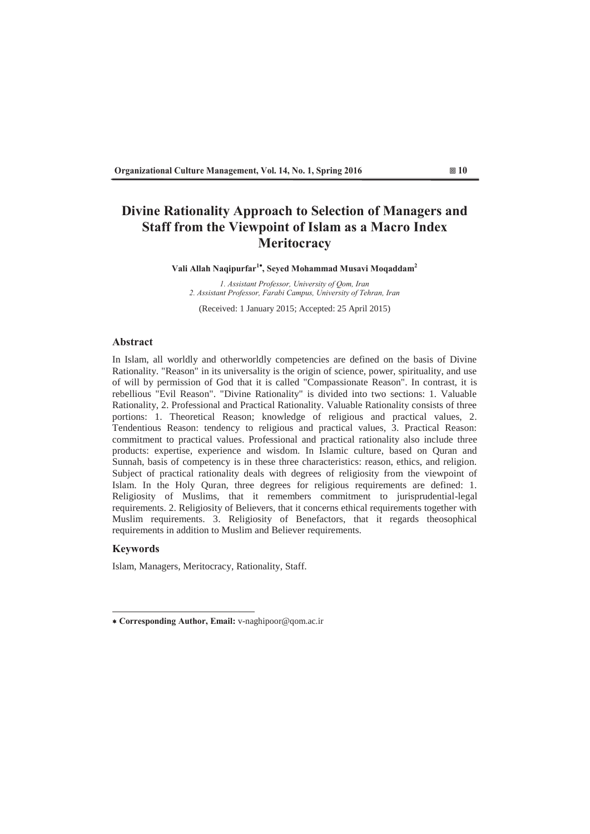# **Divine Rationality Approach to Selection of Managers and 6 Staff from the Viewpoint of Islam as a Macro Index Meritocracy**

Vali Allah Naqipurfar<sup>1\*</sup>, Seyed Mohammad Musavi Moqaddam<sup>2</sup>

*I. Assistant Professor, University of Qom, Iran* 2. Assistant Professor, Farabi Campus, University of Tehran, Iran

(Received: 1 January 2015; Accepted: 25 April 2015)

## **Abstract**

In Islam, all worldly and otherworldly competencies are defined on the basis of Divine Rationality. "Reason" in its universality is the origin of science, power, spirituality, and use of will by permission of God that it is called "Compassionate Reason". In contrast, it is rebellious "Evil Reason". "Divine Rationality" is divided into two sections: 1. Valuable Rationality, 2. Professional and Practical Rationality. Valuable Rationality consists of three portions: 1. Theoretical Reason; knowledge of religious and practical values, 2. Tendentious Reason: tendency to religious and practical values, 3. Practical Reason: commitment to practical values. Professional and practical rationality also include three products: expertise, experience and wisdom. In Islamic culture, based on Quran and Sunnah, basis of competency is in these three characteristics: reason, ethics, and religion. Subject of practical rationality deals with degrees of religiosity from the viewpoint of Islam. In the Holy Quran, three degrees for religious requirements are defined: 1. Religiosity of Muslims, that it remembers commitment to jurisprudential-legal requirements. 2. Religiosity of Believers, that it concerns ethical requirements together with Muslim requirements. 3. Religiosity of Benefactors, that it regards theosophical requirements in addition to Muslim and Believer requirements.

## **Keywords**

Islam, Managers, Meritocracy, Rationality, Staff.

<sup>\*</sup> Corresponding Author, Email: v-naghipoor@qom.ac.ir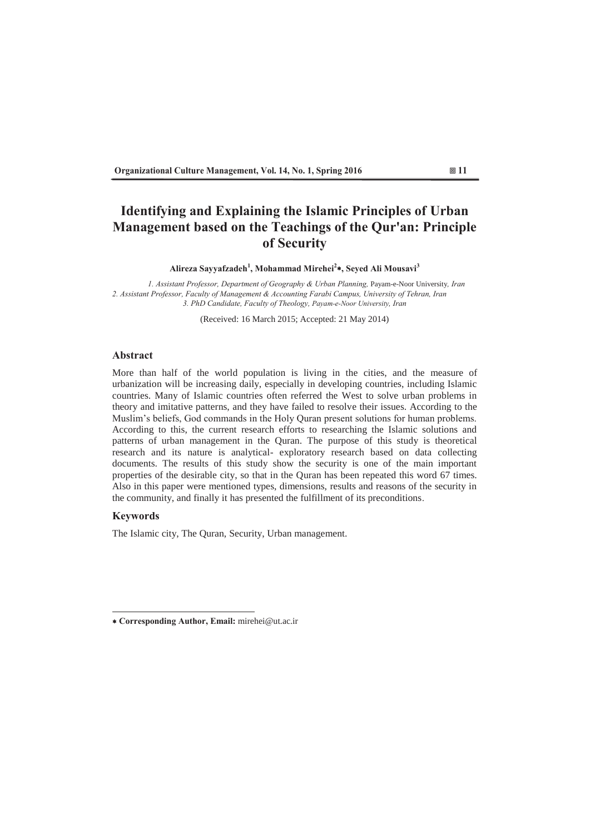# **Identifying and Explaining the Islamic Principles of Urban Management based on the Teachings of the Qur'an: Principle** of Security

Alireza Sayyafzadeh<sup>1</sup>, Mohammad Mirehei<sup>2</sup>\*, Seyed Ali Mousavi<sup>3</sup>

*I. Assistant Professor, Department of Geography & Urban Planning, Payam-e-Noor University, Iran* 2. Assistant Professor, Faculty of Management & Accounting Farabi Campus, University of Tehran, Iran 3. PhD Candidate, Faculty of Theology, Payam-e-Noor University, Iran

(Received: 16 March 2015; Accepted: 21 May 2014)

## **Abstract**

More than half of the world population is living in the cities, and the measure of urbanization will be increasing daily, especially in developing countries, including Islamic countries. Many of Islamic countries often referred the West to solve urban problems in theory and imitative patterns, and they have failed to resolve their issues. According to the Muslim's beliefs, God commands in the Holy Quran present solutions for human problems. According to this, the current research efforts to researching the Islamic solutions and patterns of urban management in the Quran. The purpose of this study is theoretical research and its nature is analytical- exploratory research based on data collecting documents. The results of this study show the security is one of the main important properties of the desirable city, so that in the Quran has been repeated this word 67 times. Also in this paper were mentioned types, dimensions, results and reasons of the security in the community, and finally it has presented the fulfillment of its preconditions

## **Keywords**

The Islamic city, The Quran, Security, Urban management.

<sup>\*</sup> Corresponding Author, Email: mirehei@ut.ac.ir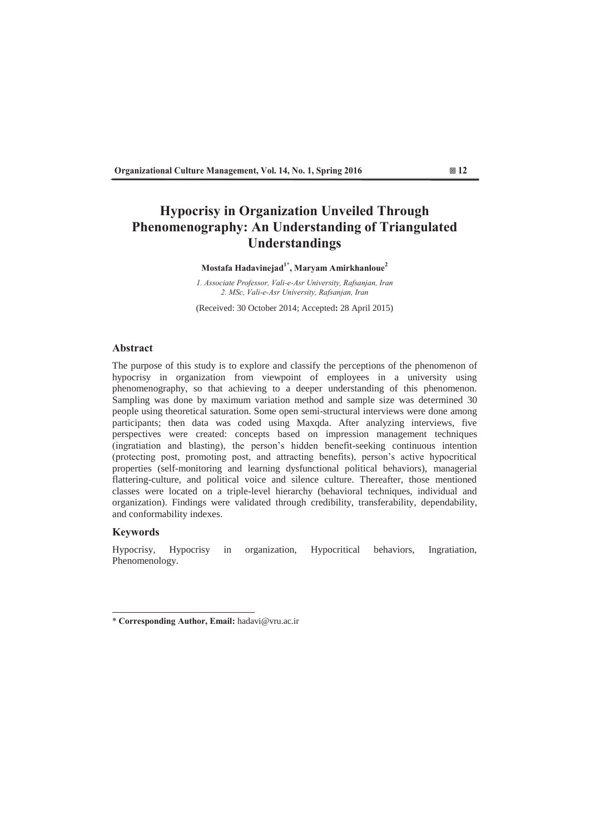# **Hypocrisy in Organization Unveiled Through** Phenomenography: An Understanding of Triangulated **Understandings**

## Mostafa Hadavinejad<sup>1\*</sup>, Maryam Amirkhanloue<sup>2</sup>

*I. Associate Professor, Vali-e-Asr University, Rafsanjan, Iran* 2. *MSc*, Vali-e-Asr University, Rafsanjan, Iran

(Received: 30 October 2014; Accepted: 28 April 2015)

## **Abstract**

The purpose of this study is to explore and classify the perceptions of the phenomenon of hypocrisy in organization from viewpoint of employees in a university using phenomenography, so that achieving to a deeper understanding of this phenomenon. Sampling was done by maximum variation method and sample size was determined 30 people using theoretical saturation. Some open semi-structural interviews were done among participants; then data was coded using Maxqda. After analyzing interviews, five perspectives were created: concepts based on impression management techniques (ingratiation and blasting), the person's hidden benefit-seeking continuous intention (protecting post, promoting post, and attracting benefits), person's active hypocritical properties (self-monitoring and learning dysfunctional political behaviors), managerial flattering-culture, and political voice and silence culture. Thereafter, those mentioned classes were located on a triple-level hierarchy (behavioral techniques, individual and organization). Findings were validated through credibility, transferability, dependability, and conformability indexes.

## **Keywords**

Hypocrisy, Hypocrisy in organization, Hypocritical behaviors, Ingratiation, Phenomenology.

<sup>\*</sup> Corresponding Author, Email: hadavi@vru.ac.ir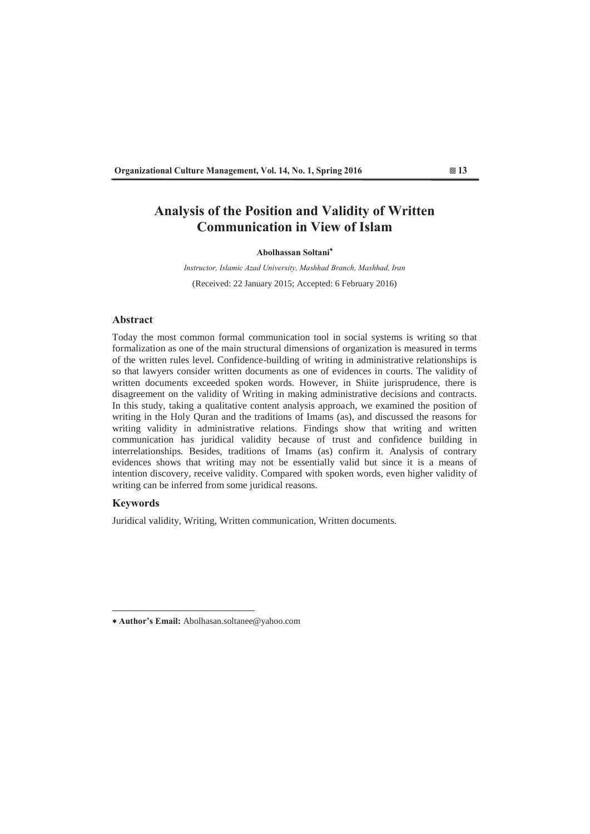## **Analysis of the Position and Validity of Written Communication in View of Islam**

### Abolhassan Soltani<sup>\*</sup>

*Instructor, Islamic Azad University, Mashhad Branch, Mashhad, Iran* (Received: 22 January 2015; Accepted: 6 February 2016)

## **Abstract**

Today the most common formal communication tool in social systems is writing so that formalization as one of the main structural dimensions of organization is measured in terms of the written rules level. Confidence-building of writing in administrative relationships is so that lawyers consider written documents as one of evidences in courts. The validity of written documents exceeded spoken words. However, in Shiite jurisprudence, there is disagreement on the validity of Writing in making administrative decisions and contracts. In this study, taking a qualitative content analysis approach, we examined the position of writing in the Holy Quran and the traditions of Imams (as), and discussed the reasons for writing validity in administrative relations. Findings show that writing and written communication has juridical validity because of trust and confidence building in interrelationships. Besides, traditions of Imams (as) confirm it. Analysis of contrary evidences shows that writing may not be essentially valid but since it is a means of intention discovery, receive validity. Compared with spoken words, even higher validity of writing can be inferred from some juridical reasons.

## **Keywords**

Juridical validity, Writing, Written communication, Written documents.

<sup>\*</sup> Author's Email: Abolhasan.soltanee@yahoo.com